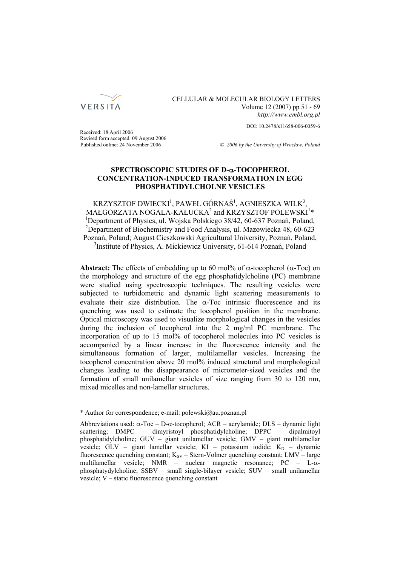

# CELLULAR & MOLECULAR BIOLOGY LETTERS Volume 12 (2007) pp 51 - 69 *http://www.cmbl.org.pl*

DOI: 10.2478/s11658-006-0059-6

Received: 18 April 2006 Revised form accepted: 09 August 2006

Published online: 24 November 2006 *© 2006 by the University of Wrocław, Poland*

## **SPECTROSCOPIC STUDIES OF D-**α**-TOCOPHEROL CONCENTRATION-INDUCED TRANSFORMATION IN EGG PHOSPHATIDYLCHOLNE VESICLES**

KRZYSZTOF DWIECKI<sup>1</sup>, PAWEŁ GÓRNAŚ<sup>1</sup>, AGNIESZKA WILK<sup>3</sup>, MAŁGORZATA NOGALA-KAŁUCKA $^2$  and KRZYSZTOF POLEWSKI $^1\ast$ 1 Department of Physics, ul. Wojska Polskiego 38/42, 60-637 Poznań, Poland, <sup>2</sup>Department of Biochemistry and Food Analysis, ul. Mazowiecka 48, 60-623 Poznań, Poland; August Cieszkowski Agricultural University, Poznań, Poland, 3 Institute of Physics, A. Mickiewicz University, 61-614 Poznań, Poland

**Abstract:** The effects of embedding up to 60 mol% of  $\alpha$ -tocopherol ( $\alpha$ -Toc) on the morphology and structure of the egg phosphatidylcholine (PC) membrane were studied using spectroscopic techniques. The resulting vesicles were subjected to turbidometric and dynamic light scattering measurements to evaluate their size distribution. The  $\alpha$ -Toc intrinsic fluorescence and its quenching was used to estimate the tocopherol position in the membrane. Optical microscopy was used to visualize morphological changes in the vesicles during the inclusion of tocopherol into the 2 mg/ml PC membrane. The incorporation of up to 15 mol% of tocopherol molecules into PC vesicles is accompanied by a linear increase in the fluorescence intensity and the simultaneous formation of larger, multilamellar vesicles. Increasing the tocopherol concentration above 20 mol% induced structural and morphological changes leading to the disappearance of micrometer-sized vesicles and the formation of small unilamellar vesicles of size ranging from 30 to 120 nm, mixed micelles and non-lamellar structures.

<sup>\*</sup> Author for correspondence; e-mail: polewski@au.poznan.pl

Abbreviations used:  $\alpha$ -Toc – D- $\alpha$ -tocopherol: ACR – acrylamide: DLS – dynamic light scattering; DMPC – dimyristoyl phosphatidylcholine; DPPC – dipalmitoyl phosphatidylcholine; GUV – giant unilamellar vesicle; GMV – giant multilamellar vesicle;  $GLV$  – giant lamellar vesicle;  $KI$  – potassium iodide;  $K_D$  – dynamic fluorescence quenching constant;  $K_{SV}$  – Stern-Volmer quenching constant; LMV – large multilamellar vesicle; NMR – nuclear magnetic resonance; PC – L-αphosphatydylcholine; SSBV – small single-bilayer vesicle; SUV – small unilamellar vesicle; V – static fluorescence quenching constant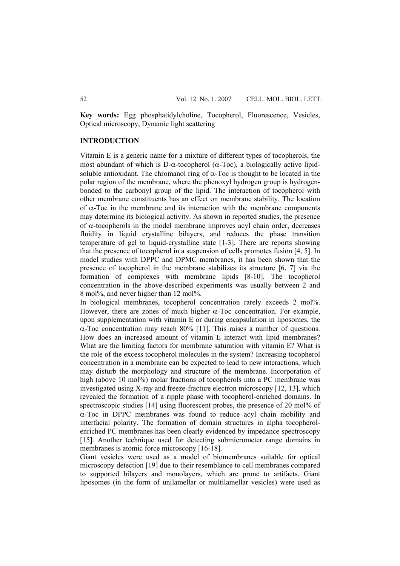**Key words:** Egg phosphatidylcholine, Tocopherol, Fluorescence, Vesicles, Optical microscopy, Dynamic light scattering

### **INTRODUCTION**

Vitamin E is a generic name for a mixture of different types of tocopherols, the most abundant of which is D-α-tocopherol ( $α$ -Toc), a biologically active lipidsoluble antioxidant. The chromanol ring of  $\alpha$ -Toc is thought to be located in the polar region of the membrane, where the phenoxyl hydrogen group is hydrogenbonded to the carbonyl group of the lipid. The interaction of tocopherol with other membrane constituents has an effect on membrane stability. The location of  $\alpha$ -Toc in the membrane and its interaction with the membrane components may determine its biological activity. As shown in reported studies, the presence of  $\alpha$ -tocopherols in the model membrane improves acyl chain order, decreases fluidity in liquid crystalline bilayers, and reduces the phase transition temperature of gel to liquid-crystalline state [1-3]. There are reports showing that the presence of tocopherol in a suspension of cells promotes fusion [4, 5]. In model studies with DPPC and DPMC membranes, it has been shown that the presence of tocopherol in the membrane stabilizes its structure [6, 7] via the formation of complexes with membrane lipids [8-10]. The tocopherol concentration in the above-described experiments was usually between 2 and 8 mol%, and never higher than 12 mol%.

In biological membranes, tocopherol concentration rarely exceeds 2 mol%. However, there are zones of much higher  $\alpha$ -Toc concentration. For example, upon supplementation with vitamin E or during encapsulation in liposomes, the α-Toc concentration may reach 80% [11]. This raises a number of questions. How does an increased amount of vitamin E interact with lipid membranes? What are the limiting factors for membrane saturation with vitamin E? What is the role of the excess tocopherol molecules in the system? Increasing tocopherol concentration in a membrane can be expected to lead to new interactions, which may disturb the morphology and structure of the membrane. Incorporation of high (above 10 mol%) molar fractions of tocopherols into a PC membrane was investigated using X-ray and freeze-fracture electron microscopy [12, 13], which revealed the formation of a ripple phase with tocopherol-enriched domains. In spectroscopic studies [14] using fluorescent probes, the presence of 20 mol% of α-Toc in DPPC membranes was found to reduce acyl chain mobility and interfacial polarity. The formation of domain structures in alpha tocopherolenriched PC membranes has been clearly evidenced by impedance spectroscopy [15]. Another technique used for detecting submicrometer range domains in membranes is atomic force microscopy [16-18].

Giant vesicles were used as a model of biomembranes suitable for optical microscopy detection [19] due to their resemblance to cell membranes compared to supported bilayers and monolayers, which are prone to artifacts. Giant liposomes (in the form of unilamellar or multilamellar vesicles) were used as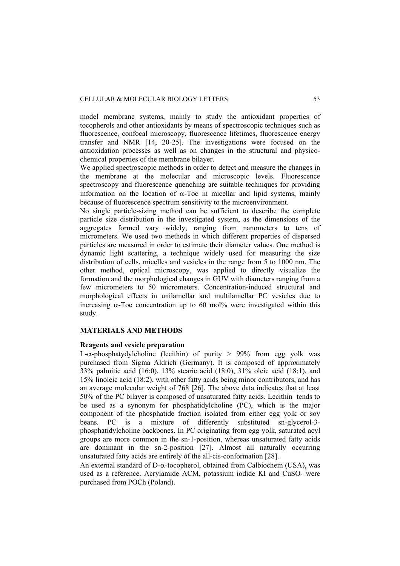model membrane systems, mainly to study the antioxidant properties of tocopherols and other antioxidants by means of spectroscopic techniques such as fluorescence, confocal microscopy, fluorescence lifetimes, fluorescence energy transfer and NMR [14, 20-25]. The investigations were focused on the antioxidation processes as well as on changes in the structural and physicochemical properties of the membrane bilayer.

We applied spectroscopic methods in order to detect and measure the changes in the membrane at the molecular and microscopic levels. Fluorescence spectroscopy and fluorescence quenching are suitable techniques for providing information on the location of  $\alpha$ -Toc in micellar and lipid systems, mainly because of fluorescence spectrum sensitivity to the microenvironment.

No single particle-sizing method can be sufficient to describe the complete particle size distribution in the investigated system, as the dimensions of the aggregates formed vary widely, ranging from nanometers to tens of micrometers. We used two methods in which different properties of dispersed particles are measured in order to estimate their diameter values. One method is dynamic light scattering, a technique widely used for measuring the size distribution of cells, micelles and vesicles in the range from 5 to 1000 nm. The other method, optical microscopy, was applied to directly visualize the formation and the morphological changes in GUV with diameters ranging from a few micrometers to 50 micrometers. Concentration-induced structural and morphological effects in unilamellar and multilamellar PC vesicles due to increasing  $\alpha$ -Toc concentration up to 60 mol% were investigated within this study.

## **MATERIALS AND METHODS**

#### **Reagents and vesicle preparation**

L- $\alpha$ -phosphatydylcholine (lecithin) of purity > 99% from egg yolk was purchased from Sigma Aldrich (Germany). It is composed of approximately 33% palmitic acid (16:0), 13% stearic acid (18:0), 31% oleic acid (18:1), and 15% linoleic acid (18:2), with other fatty acids being minor contributors, and has an average molecular weight of 768 [26]. The above data indicates that at least 50% of the PC bilayer is composed of unsaturated fatty acids. Lecithin tends to be used as a synonym for phosphatidylcholine (PC), which is the major component of the phosphatide fraction isolated from either egg yolk or soy beans. PC is a mixture of differently substituted sn-glycerol-3 phosphatidylcholine backbones. In PC originating from egg yolk, saturated acyl groups are more common in the sn-1-position, whereas unsaturated fatty acids are dominant in the sn-2-position [27]. Almost all naturally occurring unsaturated fatty acids are entirely of the all-cis-conformation [28].

An external standard of D-α-tocopherol, obtained from Calbiochem (USA), was used as a reference. Acrylamide ACM, potassium iodide KI and  $CuSO<sub>4</sub>$  were purchased from POCh (Poland).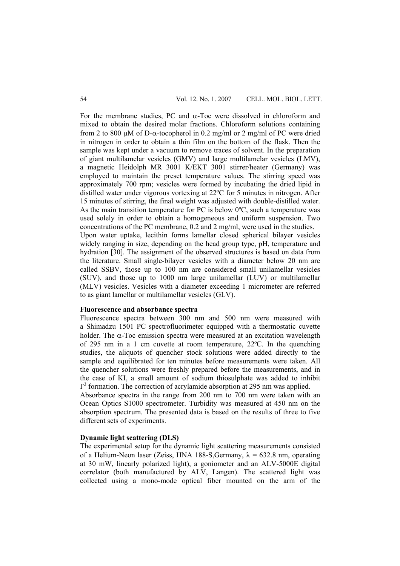For the membrane studies, PC and  $\alpha$ -Toc were dissolved in chloroform and mixed to obtain the desired molar fractions. Chloroform solutions containing from 2 to 800 μM of D- $\alpha$ -tocopherol in 0.2 mg/ml or 2 mg/ml of PC were dried in nitrogen in order to obtain a thin film on the bottom of the flask. Then the sample was kept under a vacuum to remove traces of solvent. In the preparation of giant multilamelar vesicles (GMV) and large multilamelar vesicles (LMV), a magnetic Heidolph MR 3001 K/EKT 3001 stirrer/heater (Germany) was employed to maintain the preset temperature values. The stirring speed was approximately 700 rpm; vesicles were formed by incubating the dried lipid in distilled water under vigorous vortexing at 22ºC for 5 minutes in nitrogen. After 15 minutes of stirring, the final weight was adjusted with double-distilled water. As the main transition temperature for PC is below 0°C, such a temperature was used solely in order to obtain a homogeneous and uniform suspension. Two concentrations of the PC membrane, 0.2 and 2 mg/ml, were used in the studies. Upon water uptake, lecithin forms lamellar closed spherical bilayer vesicles widely ranging in size, depending on the head group type, pH, temperature and hydration [30]. The assignment of the observed structures is based on data from

the literature. Small single-bilayer vesicles with a diameter below 20 nm are called SSBV, those up to 100 nm are considered small unilamellar vesicles (SUV), and those up to 1000 nm large unilamellar (LUV) or multilamellar (MLV) vesicles. Vesicles with a diameter exceeding 1 micrometer are referred to as giant lamellar or multilamellar vesicles (GLV).

### **Fluorescence and absorbance spectra**

Fluorescence spectra between 300 nm and 500 nm were measured with a Shimadzu 1501 PC spectrofluorimeter equipped with a thermostatic cuvette holder. The  $\alpha$ -Toc emission spectra were measured at an excitation wavelength of 295 nm in a 1 cm cuvette at room temperature, 22ºC. In the quenching studies, the aliquots of quencher stock solutions were added directly to the sample and equilibrated for ten minutes before measurements were taken. All the quencher solutions were freshly prepared before the measurements, and in the case of KI, a small amount of sodium thiosulphate was added to inhibit  $I<sup>3</sup>$  formation. The correction of acrylamide absorption at 295 nm was applied.

Absorbance spectra in the range from 200 nm to 700 nm were taken with an Ocean Optics S1000 spectrometer. Turbidity was measured at 450 nm on the absorption spectrum. The presented data is based on the results of three to five different sets of experiments.

### **Dynamic light scattering (DLS)**

The experimental setup for the dynamic light scattering measurements consisted of a Helium-Neon laser (Zeiss, HNA 188-S, Germany,  $\lambda = 632.8$  nm, operating at 30 mW, linearly polarized light), a goniometer and an ALV-5000E digital correlator (both manufactured by ALV, Langen). The scattered light was collected using a mono-mode optical fiber mounted on the arm of the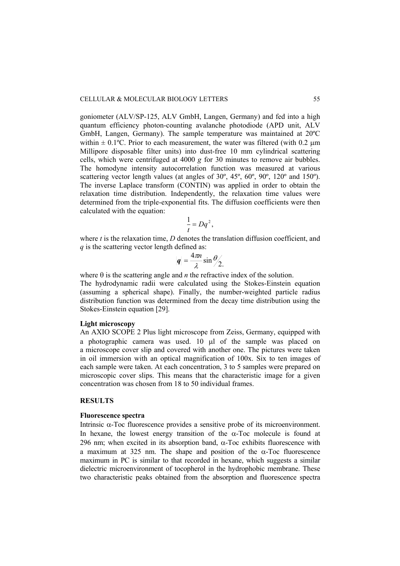goniometer (ALV/SP-125, ALV GmbH, Langen, Germany) and fed into a high quantum efficiency photon-counting avalanche photodiode (APD unit, ALV GmbH, Langen, Germany). The sample temperature was maintained at 20ºC within  $\pm$  0.1°C. Prior to each measurement, the water was filtered (with 0.2  $\mu$ m Millipore disposable filter units) into dust-free 10 mm cylindrical scattering cells, which were centrifuged at 4000 *g* for 30 minutes to remove air bubbles. The homodyne intensity autocorrelation function was measured at various scattering vector length values (at angles of 30<sup>°</sup>, 45<sup>°</sup>, 60<sup>°</sup>, 90<sup>°</sup>, 120<sup>°</sup> and 150<sup>°</sup>). The inverse Laplace transform (CONTIN) was applied in order to obtain the relaxation time distribution. Independently, the relaxation time values were determined from the triple-exponential fits. The diffusion coefficients were then calculated with the equation:

$$
\frac{1}{t}=Dq^2,
$$

where  $t$  is the relaxation time,  $D$  denotes the translation diffusion coefficient, and *q* is the scattering vector length defined as:

$$
|\mathbf{q}| = \frac{4\pi n}{\lambda} \sin \frac{\theta}{2}.
$$

where  $\theta$  is the scattering angle and *n* the refractive index of the solution. The hydrodynamic radii were calculated using the Stokes-Einstein equation (assuming a spherical shape). Finally, the number-weighted particle radius distribution function was determined from the decay time distribution using the Stokes-Einstein equation [29].

### **Light microscopy**

An AXIO SCOPE 2 Plus light microscope from Zeiss, Germany, equipped with a photographic camera was used. 10 μl of the sample was placed on a microscope cover slip and covered with another one. The pictures were taken in oil immersion with an optical magnification of 100x. Six to ten images of each sample were taken. At each concentration, 3 to 5 samples were prepared on microscopic cover slips. This means that the characteristic image for a given concentration was chosen from 18 to 50 individual frames.

### **RESULTS**

#### **Fluorescence spectra**

Intrinsic  $\alpha$ -Toc fluorescence provides a sensitive probe of its microenvironment. In hexane, the lowest energy transition of the  $\alpha$ -Toc molecule is found at 296 nm; when excited in its absorption band,  $\alpha$ -Toc exhibits fluorescence with a maximum at 325 nm. The shape and position of the α-Toc fluorescence maximum in PC is similar to that recorded in hexane, which suggests a similar dielectric microenvironment of tocopherol in the hydrophobic membrane. These two characteristic peaks obtained from the absorption and fluorescence spectra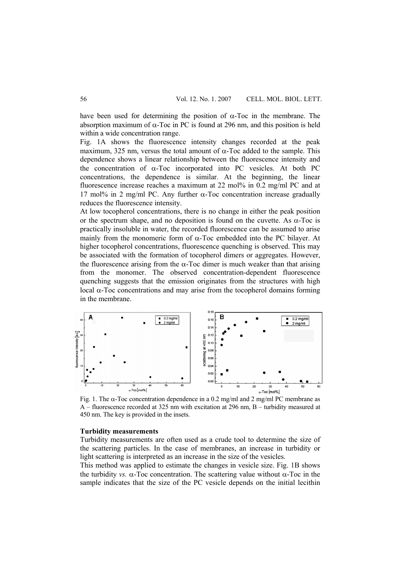have been used for determining the position of  $\alpha$ -Toc in the membrane. The absorption maximum of  $\alpha$ -Toc in PC is found at 296 nm, and this position is held within a wide concentration range.

Fig. 1A shows the fluorescence intensity changes recorded at the peak maximum, 325 nm, versus the total amount of  $\alpha$ -Toc added to the sample. This dependence shows a linear relationship between the fluorescence intensity and the concentration of  $\alpha$ -Toc incorporated into PC vesicles. At both PC concentrations, the dependence is similar. At the beginning, the linear fluorescence increase reaches a maximum at 22 mol% in 0.2 mg/ml PC and at 17 mol% in 2 mg/ml PC. Any further α-Toc concentration increase gradually reduces the fluorescence intensity.

At low tocopherol concentrations, there is no change in either the peak position or the spectrum shape, and no deposition is found on the cuvette. As  $\alpha$ -Toc is practically insoluble in water, the recorded fluorescence can be assumed to arise mainly from the monomeric form of  $\alpha$ -Toc embedded into the PC bilayer. At higher tocopherol concentrations, fluorescence quenching is observed. This may be associated with the formation of tocopherol dimers or aggregates. However, the fluorescence arising from the  $\alpha$ -Toc dimer is much weaker than that arising from the monomer. The observed concentration-dependent fluorescence quenching suggests that the emission originates from the structures with high local α-Toc concentrations and may arise from the tocopherol domains forming in the membrane.



Fig. 1. The α-Toc concentration dependence in a 0.2 mg/ml and 2 mg/ml PC membrane as A – fluorescence recorded at 325 nm with excitation at 296 nm, B – turbidity measured at 450 nm. The key is provided in the insets.

### **Turbidity measurements**

Turbidity measurements are often used as a crude tool to determine the size of the scattering particles. In the case of membranes, an increase in turbidity or light scattering is interpreted as an increase in the size of the vesicles.

This method was applied to estimate the changes in vesicle size. Fig. 1B shows the turbidity *vs.*  $\alpha$ -Toc concentration. The scattering value without  $\alpha$ -Toc in the sample indicates that the size of the PC vesicle depends on the initial lecithin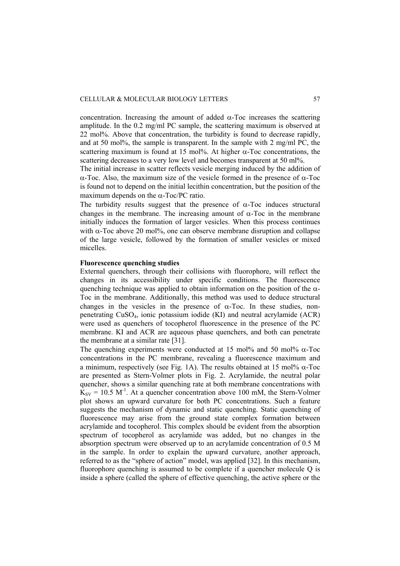concentration. Increasing the amount of added  $\alpha$ -Toc increases the scattering amplitude. In the 0.2 mg/ml PC sample, the scattering maximum is observed at 22 mol%. Above that concentration, the turbidity is found to decrease rapidly, and at 50 mol%, the sample is transparent. In the sample with 2 mg/ml PC, the scattering maximum is found at 15 mol%. At higher  $\alpha$ -Toc concentrations, the scattering decreases to a very low level and becomes transparent at 50 ml%.

The initial increase in scatter reflects vesicle merging induced by the addition of α-Toc. Also, the maximum size of the vesicle formed in the presence of α-Toc is found not to depend on the initial lecithin concentration, but the position of the maximum depends on the  $\alpha$ -Toc/PC ratio.

The turbidity results suggest that the presence of  $\alpha$ -Toc induces structural changes in the membrane. The increasing amount of  $\alpha$ -Toc in the membrane initially induces the formation of larger vesicles. When this process continues with  $\alpha$ -Toc above 20 mol%, one can observe membrane disruption and collapse of the large vesicle, followed by the formation of smaller vesicles or mixed micelles.

### **Fluorescence quenching studies**

External quenchers, through their collisions with fluorophore, will reflect the changes in its accessibility under specific conditions. The fluorescence quenching technique was applied to obtain information on the position of the  $\alpha$ -Toc in the membrane. Additionally, this method was used to deduce structural changes in the vesicles in the presence of  $\alpha$ -Toc. In these studies, nonpenetrating CuSO4, ionic potassium iodide (KI) and neutral acrylamide (ACR) were used as quenchers of tocopherol fluorescence in the presence of the PC membrane. KI and ACR are aqueous phase quenchers, and both can penetrate the membrane at a similar rate [31].

The quenching experiments were conducted at 15 mol% and 50 mol%  $\alpha$ -Toc concentrations in the PC membrane, revealing a fluorescence maximum and a minimum, respectively (see Fig. 1A). The results obtained at 15 mol%  $\alpha$ -Toc are presented as Stern-Volmer plots in Fig. 2. Acrylamide, the neutral polar quencher, shows a similar quenching rate at both membrane concentrations with  $K_{SV}$  = 10.5 M<sup>-1</sup>. At a quencher concentration above 100 mM, the Stern-Volmer plot shows an upward curvature for both PC concentrations. Such a feature suggests the mechanism of dynamic and static quenching. Static quenching of fluorescence may arise from the ground state complex formation between acrylamide and tocopherol. This complex should be evident from the absorption spectrum of tocopherol as acrylamide was added, but no changes in the absorption spectrum were observed up to an acrylamide concentration of 0.5 M in the sample. In order to explain the upward curvature, another approach, referred to as the "sphere of action" model, was applied [32]. In this mechanism, fluorophore quenching is assumed to be complete if a quencher molecule Q is inside a sphere (called the sphere of effective quenching, the active sphere or the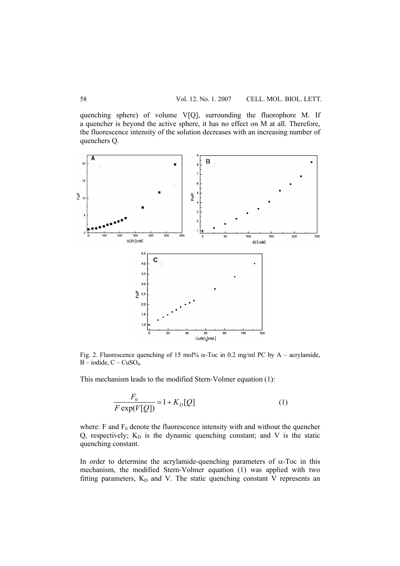quenching sphere) of volume V[Q], surrounding the fluorophore M. If a quencher is beyond the active sphere, it has no effect on M at all. Therefore, the fluorescence intensity of the solution decreases with an increasing number of quenchers Q.



Fig. 2. Fluorescence quenching of 15 mol% α-Toc in 0.2 mg/ml PC by A – acrylamide,  $B - iodide, C - CuSO<sub>4</sub>.$ 

This mechanism leads to the modified Stern-Volmer equation (1):

$$
\frac{F_0}{F \exp(V[Q])} = 1 + K_D[Q] \tag{1}
$$

where: F and  $F_0$  denote the fluorescence intensity with and without the quencher Q, respectively;  $K_D$  is the dynamic quenching constant; and V is the static quenching constant.

In order to determine the acrylamide-quenching parameters of  $\alpha$ -Toc in this mechanism, the modified Stern-Volmer equation (1) was applied with two fitting parameters,  $K_D$  and V. The static quenching constant V represents an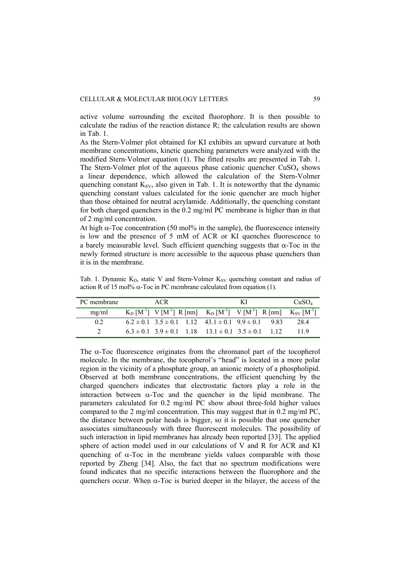### CELLULAR & MOLECULAR BIOLOGY LETTERS 59

active volume surrounding the excited fluorophore. It is then possible to calculate the radius of the reaction distance R; the calculation results are shown in Tab. 1.

As the Stern-Volmer plot obtained for KI exhibits an upward curvature at both membrane concentrations, kinetic quenching parameters were analyzed with the modified Stern-Volmer equation (1). The fitted results are presented in Tab. 1. The Stern-Volmer plot of the aqueous phase cationic quencher  $CuSO<sub>4</sub>$  shows a linear dependence, which allowed the calculation of the Stern-Volmer quenching constant  $K_{SV}$ , also given in Tab. 1. It is noteworthy that the dynamic quenching constant values calculated for the ionic quencher are much higher than those obtained for neutral acrylamide. Additionally, the quenching constant for both charged quenchers in the 0.2 mg/ml PC membrane is higher than in that of 2 mg/ml concentration.

At high  $\alpha$ -Toc concentration (50 mol% in the sample), the fluorescence intensity is low and the presence of 5 mM of ACR or KI quenches fluorescence to a barely measurable level. Such efficient quenching suggests that  $\alpha$ -Toc in the newly formed structure is more accessible to the aqueous phase quenchers than it is in the membrane.

|                                                                                |  |  |  |  |  |  |  |  |  | Tab. 1. Dynamic $K_{D_2}$ static V and Stern-Volmer $K_{SV}$ quenching constant and radius of |  |  |  |  |
|--------------------------------------------------------------------------------|--|--|--|--|--|--|--|--|--|-----------------------------------------------------------------------------------------------|--|--|--|--|
| action R of 15 mol% $\alpha$ -Toc in PC membrane calculated from equation (1). |  |  |  |  |  |  |  |  |  |                                                                                               |  |  |  |  |

| PC membrane | ACR. |                                                                                             | KI. | CuSO <sub>4</sub> |
|-------------|------|---------------------------------------------------------------------------------------------|-----|-------------------|
| mg/ml       |      | $K_D [M^{-1}]$ V $[M^{-1}]$ R $[nm]$ $K_D [M^{-1}]$ V $[M^{-1}]$ R $[nm]$ $K_{SV} [M^{-1}]$ |     |                   |
| 02          |      | $6.2 \pm 0.1$ $3.5 \pm 0.1$ $1.12$ $43.1 \pm 0.1$ $9.9 \pm 0.1$ $9.83$                      |     | 28.4              |
|             |      | $6.3 \pm 0.1$ $3.9 \pm 0.1$ $1.18$ $13.1 \pm 0.1$ $3.5 \pm 0.1$ $1.12$                      |     | 119               |

The  $\alpha$ -Toc fluorescence originates from the chromanol part of the tocopherol molecule. In the membrane, the tocopherol's "head" is located in a more polar region in the vicinity of a phosphate group, an anionic moiety of a phospholipid. Observed at both membrane concentrations, the efficient quenching by the charged quenchers indicates that electrostatic factors play a role in the interaction between  $\alpha$ -Toc and the quencher in the lipid membrane. The parameters calculated for 0.2 mg/ml PC show about three-fold higher values compared to the 2 mg/ml concentration. This may suggest that in 0.2 mg/ml PC, the distance between polar heads is bigger, so it is possible that one quencher associates simultaneously with three fluorescent molecules. The possibility of such interaction in lipid membranes has already been reported [33]. The applied sphere of action model used in our calculations of V and R for ACR and KI quenching of  $\alpha$ -Toc in the membrane yields values comparable with those reported by Zheng [34]. Also, the fact that no spectrum modifications were found indicates that no specific interactions between the fluorophore and the quenchers occur. When  $\alpha$ -Toc is buried deeper in the bilayer, the access of the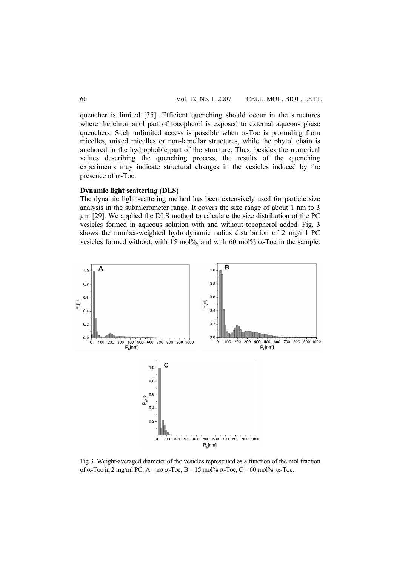quencher is limited [35]. Efficient quenching should occur in the structures where the chromanol part of tocopherol is exposed to external aqueous phase quenchers. Such unlimited access is possible when  $\alpha$ -Toc is protruding from micelles, mixed micelles or non-lamellar structures, while the phytol chain is anchored in the hydrophobic part of the structure. Thus, besides the numerical values describing the quenching process, the results of the quenching experiments may indicate structural changes in the vesicles induced by the presence of  $α$ -Toc.

### **Dynamic light scattering (DLS)**

The dynamic light scattering method has been extensively used for particle size analysis in the submicrometer range. It covers the size range of about 1 nm to 3 µm [29]. We applied the DLS method to calculate the size distribution of the PC vesicles formed in aqueous solution with and without tocopherol added. Fig. 3 shows the number-weighted hydrodynamic radius distribution of 2 mg/ml PC vesicles formed without, with 15 mol%, and with 60 mol%  $\alpha$ -Toc in the sample.



Fig 3. Weight-averaged diameter of the vesicles represented as a function of the mol fraction of α-Toc in 2 mg/ml PC. A – no α-Toc, B – 15 mol% α-Toc, C – 60 mol% α-Toc.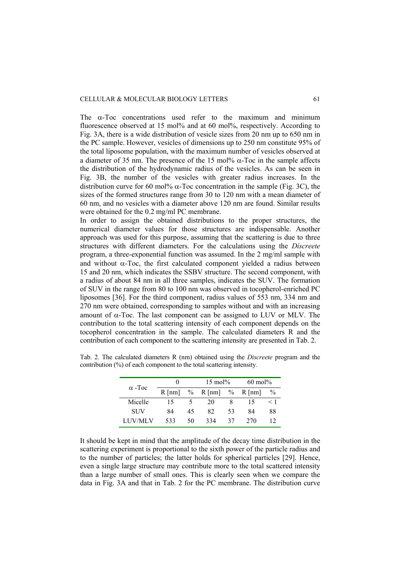#### CELLULAR & MOLECULAR BIOLOGY LETTERS 61

The  $\alpha$ -Toc concentrations used refer to the maximum and minimum fluorescence observed at 15 mol% and at 60 mol%, respectively. According to Fig. 3A, there is a wide distribution of vesicle sizes from 20 nm up to 650 nm in the PC sample. However, vesicles of dimensions up to 250 nm constitute 95% of the total liposome population, with the maximum number of vesicles observed at a diameter of 35 nm. The presence of the 15 mol%  $\alpha$ -Toc in the sample affects the distribution of the hydrodynamic radius of the vesicles. As can be seen in Fig. 3B, the number of the vesicles with greater radius increases. In the distribution curve for 60 mol% α-Toc concentration in the sample (Fig. 3C), the sizes of the formed structures range from 30 to 120 nm with a mean diameter of 60 nm, and no vesicles with a diameter above 120 nm are found. Similar results were obtained for the 0.2 mg/ml PC membrane.

In order to assign the obtained distributions to the proper structures, the numerical diameter values for those structures are indispensable. Another approach was used for this purpose, assuming that the scattering is due to three structures with different diameters. For the calculations using the *Discreete* program, a three-exponential function was assumed. In the 2 mg/ml sample with and without  $\alpha$ -Toc, the first calculated component yielded a radius between 15 and 20 nm, which indicates the SSBV structure. The second component, with a radius of about 84 nm in all three samples, indicates the SUV. The formation of SUV in the range from 80 to 100 nm was observed in tocopherol-enriched PC liposomes [36]. For the third component, radius values of 553 nm, 334 nm and 270 nm were obtained, corresponding to samples without and with an increasing amount of α-Toc. The last component can be assigned to LUV or MLV. The contribution to the total scattering intensity of each component depends on the tocopherol concentration in the sample. The calculated diameters R and the contribution of each component to the scattering intensity are presented in Tab. 2.

| $\alpha$ -Toc |          |    | $15 \text{ mol}$ % |    | $60 \text{ mol}$ % |               |  |
|---------------|----------|----|--------------------|----|--------------------|---------------|--|
|               | $R$ [nm] |    | $\%$ R [nm]        |    | $\%$ R [nm]        | $\frac{0}{0}$ |  |
| Micelle       | 15       |    | 20                 |    | 15                 | < 1           |  |
| <b>SUV</b>    | 84       | 45 | 82                 | 53 | 84                 | 88            |  |
| LUV/MLV       | 533      | 50 | 334                | 37 | 270                |               |  |

Tab. 2. The calculated diameters R (nm) obtained using the *Discreete* program and the contribution (%) of each component to the total scattering intensity.

It should be kept in mind that the amplitude of the decay time distribution in the scattering experiment is proportional to the sixth power of the particle radius and to the number of particles; the latter holds for spherical particles [29]. Hence, even a single large structure may contribute more to the total scattered intensity than a large number of small ones. This is clearly seen when we compare the data in Fig. 3A and that in Tab. 2 for the PC membrane. The distribution curve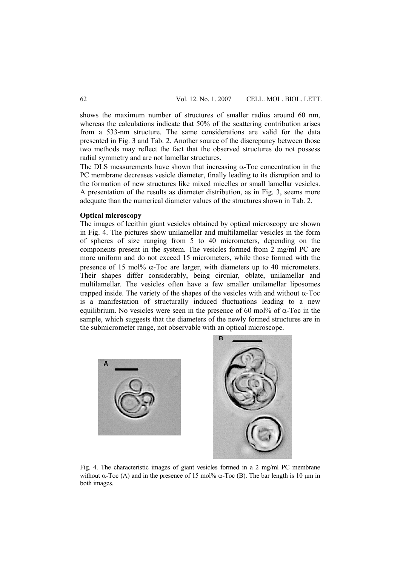shows the maximum number of structures of smaller radius around 60 nm whereas the calculations indicate that 50% of the scattering contribution arises from a 533-nm structure. The same considerations are valid for the data presented in Fig. 3 and Tab. 2. Another source of the discrepancy between those two methods may reflect the fact that the observed structures do not possess radial symmetry and are not lamellar structures.

The DLS measurements have shown that increasing  $\alpha$ -Toc concentration in the PC membrane decreases vesicle diameter, finally leading to its disruption and to the formation of new structures like mixed micelles or small lamellar vesicles. A presentation of the results as diameter distribution, as in Fig. 3, seems more adequate than the numerical diameter values of the structures shown in Tab. 2.

#### **Optical microscopy**

The images of lecithin giant vesicles obtained by optical microscopy are shown in Fig. 4. The pictures show unilamellar and multilamellar vesicles in the form of spheres of size ranging from 5 to 40 micrometers, depending on the components present in the system. The vesicles formed from 2 mg/ml PC are more uniform and do not exceed 15 micrometers, while those formed with the presence of 15 mol% α-Toc are larger, with diameters up to 40 micrometers. Their shapes differ considerably, being circular, oblate, unilamellar and multilamellar. The vesicles often have a few smaller unilamellar liposomes trapped inside. The variety of the shapes of the vesicles with and without  $\alpha$ -Toc is a manifestation of structurally induced fluctuations leading to a new equilibrium. No vesicles were seen in the presence of 60 mol% of  $\alpha$ -Toc in the sample, which suggests that the diameters of the newly formed structures are in the submicrometer range, not observable with an optical microscope.





Fig. 4. The characteristic images of giant vesicles formed in a 2 mg/ml PC membrane without  $\alpha$ -Toc (A) and in the presence of 15 mol%  $\alpha$ -Toc (B). The bar length is 10 µm in both images.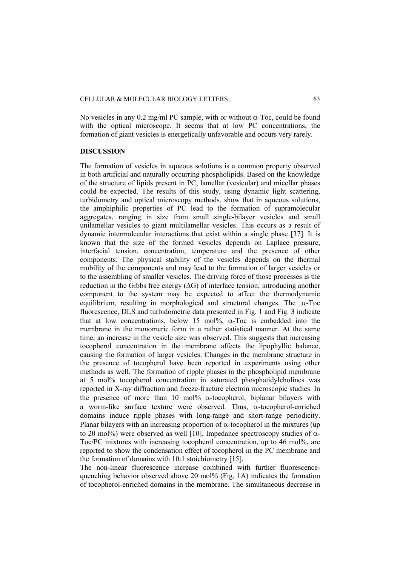No vesicles in any 0.2 mg/ml PC sample, with or without  $\alpha$ -Toc, could be found with the optical microscope. It seems that at low PC concentrations, the formation of giant vesicles is energetically unfavorable and occurs very rarely.

### **DISCUSSION**

The formation of vesicles in aqueous solutions is a common property observed in both artificial and naturally occurring phospholipids. Based on the knowledge of the structure of lipids present in PC, lamellar (vesicular) and micellar phases could be expected. The results of this study, using dynamic light scattering, turbidometry and optical microscopy methods, show that in aqueous solutions, the amphiphilic properties of PC lead to the formation of supramolecular aggregates, ranging in size from small single-bilayer vesicles and small unilamellar vesicles to giant multilamellar vesicles. This occurs as a result of dynamic intermolecular interactions that exist within a single phase [37]. It is known that the size of the formed vesicles depends on Laplace pressure, interfacial tension, concentration, temperature and the presence of other components. The physical stability of the vesicles depends on the thermal mobility of the components and may lead to the formation of larger vesicles or to the assembling of smaller vesicles. The driving force of those processes is the reduction in the Gibbs free energy  $( \Delta G)$  of interface tension; introducing another component to the system may be expected to affect the thermodynamic equilibrium, resulting in morphological and structural changes. The  $\alpha$ -Toc fluorescence, DLS and turbidometric data presented in Fig. 1 and Fig. 3 indicate that at low concentrations, below 15 mol%,  $\alpha$ -Toc is embedded into the membrane in the monomeric form in a rather statistical manner. At the same time, an increase in the vesicle size was observed. This suggests that increasing tocopherol concentration in the membrane affects the lipophyllic balance, causing the formation of larger vesicles. Changes in the membrane structure in the presence of tocopherol have been reported in experiments using other methods as well. The formation of ripple phases in the phospholipid membrane at 5 mol% tocopherol concentration in saturated phosphatidylcholines was reported in X-ray diffraction and freeze-fracture electron microscopic studies. In the presence of more than 10 mol%  $\alpha$ -tocopherol, biplanar bilayers with a worm-like surface texture were observed. Thus, α-tocopherol-enriched domains induce ripple phases with long-range and short-range periodicity. Planar bilayers with an increasing proportion of  $\alpha$ -tocopherol in the mixtures (up to 20 mol%) were observed as well [10]. Impedance spectroscopy studies of  $α$ -Toc/PC mixtures with increasing tocopherol concentration, up to 46 mol%, are reported to show the condensation effect of tocopherol in the PC membrane and the formation of domains with 10:1 stoichiometry [15].

The non-linear fluorescence increase combined with further fluorescencequenching behavior observed above 20 mol% (Fig. 1A) indicates the formation of tocopherol-enriched domains in the membrane. The simultaneous decrease in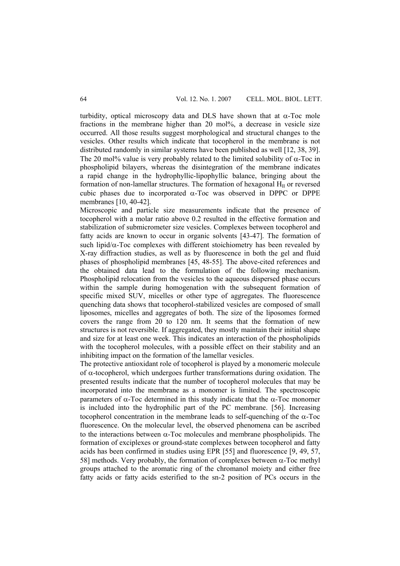turbidity, optical microscopy data and DLS have shown that at α-Toc mole fractions in the membrane higher than 20 mol%, a decrease in vesicle size occurred. All those results suggest morphological and structural changes to the vesicles. Other results which indicate that tocopherol in the membrane is not distributed randomly in similar systems have been published as well [12, 38, 39]. The 20 mol% value is very probably related to the limited solubility of  $\alpha$ -Toc in phospholipid bilayers, whereas the disintegration of the membrane indicates a rapid change in the hydrophyllic-lipophyllic balance, bringing about the formation of non-lamellar structures. The formation of hexagonal  $H<sub>II</sub>$  or reversed cubic phases due to incorporated  $\alpha$ -Toc was observed in DPPC or DPPE membranes [10, 40-42].

Microscopic and particle size measurements indicate that the presence of tocopherol with a molar ratio above 0.2 resulted in the effective formation and stabilization of submicrometer size vesicles. Complexes between tocopherol and fatty acids are known to occur in organic solvents [43-47]. The formation of such lipid/ $\alpha$ -Toc complexes with different stoichiometry has been revealed by X-ray diffraction studies, as well as by fluorescence in both the gel and fluid phases of phospholipid membranes [45, 48-55]. The above-cited references and the obtained data lead to the formulation of the following mechanism. Phospholipid relocation from the vesicles to the aqueous dispersed phase occurs within the sample during homogenation with the subsequent formation of specific mixed SUV, micelles or other type of aggregates. The fluorescence quenching data shows that tocopherol-stabilized vesicles are composed of small liposomes, micelles and aggregates of both. The size of the liposomes formed covers the range from 20 to 120 nm. It seems that the formation of new structures is not reversible. If aggregated, they mostly maintain their initial shape and size for at least one week. This indicates an interaction of the phospholipids with the tocopherol molecules, with a possible effect on their stability and an inhibiting impact on the formation of the lamellar vesicles.

The protective antioxidant role of tocopherol is played by a monomeric molecule of  $\alpha$ -tocopherol, which undergoes further transformations during oxidation. The presented results indicate that the number of tocopherol molecules that may be incorporated into the membrane as a monomer is limited. The spectroscopic parameters of α-Toc determined in this study indicate that the α-Toc monomer is included into the hydrophilic part of the PC membrane. [56]. Increasing tocopherol concentration in the membrane leads to self-quenching of the α-Toc fluorescence. On the molecular level, the observed phenomena can be ascribed to the interactions between  $\alpha$ -Toc molecules and membrane phospholipids. The formation of exciplexes or ground-state complexes between tocopherol and fatty acids has been confirmed in studies using EPR [55] and fluorescence [9, 49, 57, 58] methods. Very probably, the formation of complexes between  $\alpha$ -Toc methyl groups attached to the aromatic ring of the chromanol moiety and either free fatty acids or fatty acids esterified to the sn-2 position of PCs occurs in the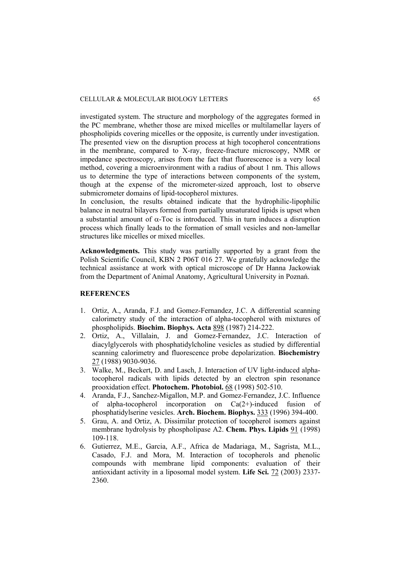investigated system. The structure and morphology of the aggregates formed in the PC membrane, whether those are mixed micelles or multilamellar layers of phospholipids covering micelles or the opposite, is currently under investigation. The presented view on the disruption process at high tocopherol concentrations in the membrane, compared to X-ray, freeze-fracture microscopy, NMR or impedance spectroscopy, arises from the fact that fluorescence is a very local method, covering a microenvironment with a radius of about 1 nm. This allows us to determine the type of interactions between components of the system, though at the expense of the micrometer-sized approach, lost to observe submicrometer domains of lipid-tocopherol mixtures.

In conclusion, the results obtained indicate that the hydrophilic-lipophilic balance in neutral bilayers formed from partially unsaturated lipids is upset when a substantial amount of α-Toc is introduced. This in turn induces a disruption process which finally leads to the formation of small vesicles and non-lamellar structures like micelles or mixed micelles.

**Acknowledgments.** This study was partially supported by a grant from the Polish Scientific Council, KBN 2 P06T 016 27. We gratefully acknowledge the technical assistance at work with optical microscope of Dr Hanna Jackowiak from the Department of Animal Anatomy, Agricultural University in Poznań.

## **REFERENCES**

- 1. Ortiz, A., Aranda, F.J. and Gomez-Fernandez, J.C. A differential scanning calorimetry study of the interaction of alpha-tocopherol with mixtures of phospholipids. **Biochim. Biophys. Acta** 898 (1987) 214-222.
- 2. Ortiz, A., Villalain, J. and Gomez-Fernandez, J.C. Interaction of diacylglycerols with phosphatidylcholine vesicles as studied by differential scanning calorimetry and fluorescence probe depolarization. **Biochemistry** 27 (1988) 9030-9036.
- 3. Walke, M., Beckert, D. and Lasch, J. Interaction of UV light-induced alphatocopherol radicals with lipids detected by an electron spin resonance prooxidation effect. **Photochem. Photobiol.** 68 (1998) 502-510.
- 4. Aranda, F.J., Sanchez-Migallon, M.P. and Gomez-Fernandez, J.C. Influence of alpha-tocopherol incorporation on Ca(2+)-induced fusion of phosphatidylserine vesicles. **Arch. Biochem. Biophys.** 333 (1996) 394-400.
- 5. Grau, A. and Ortiz, A. Dissimilar protection of tocopherol isomers against membrane hydrolysis by phospholipase A2. **Chem. Phys. Lipids** 91 (1998) 109-118.
- 6. Gutierrez, M.E., Garcia, A.F., Africa de Madariaga, M., Sagrista, M.L., Casado, F.J. and Mora, M. Interaction of tocopherols and phenolic compounds with membrane lipid components: evaluation of their antioxidant activity in a liposomal model system. **Life Sci.** 72 (2003) 2337- 2360.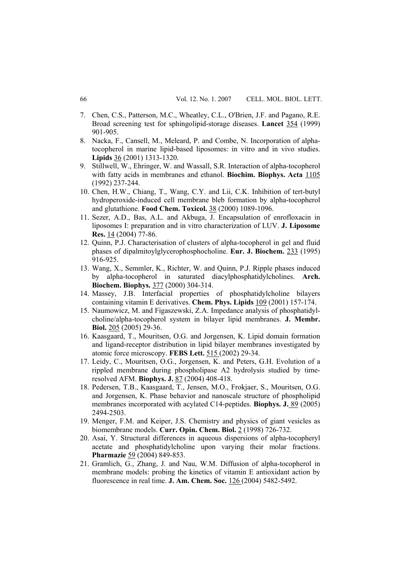- 7. Chen, C.S., Patterson, M.C., Wheatley, C.L., O'Brien, J.F. and Pagano, R.E. Broad screening test for sphingolipid-storage diseases. **Lancet** 354 (1999) 901-905.
- 8. Nacka, F., Cansell, M., Meleard, P. and Combe, N. Incorporation of alphatocopherol in marine lipid-based liposomes: in vitro and in vivo studies. **Lipids** 36 (2001) 1313-1320.
- 9. Stillwell, W., Ehringer, W. and Wassall, S.R. Interaction of alpha-tocopherol with fatty acids in membranes and ethanol. **Biochim. Biophys. Acta** 1105 (1992) 237-244.
- 10. Chen, H.W., Chiang, T., Wang, C.Y. and Lii, C.K. Inhibition of tert-butyl hydroperoxide-induced cell membrane bleb formation by alpha-tocopherol and glutathione. **Food Chem. Toxicol.** 38 (2000) 1089-1096.
- 11. Sezer, A.D., Bas, A.L. and Akbuga, J. Encapsulation of enrofloxacin in liposomes I: preparation and in vitro characterization of LUV. **J. Liposome Res.** 14 (2004) 77-86.
- 12. Quinn, P.J. Characterisation of clusters of alpha-tocopherol in gel and fluid phases of dipalmitoylglycerophosphocholine. **Eur. J. Biochem.** 233 (1995) 916-925.
- 13. Wang, X., Semmler, K., Richter, W. and Quinn, P.J. Ripple phases induced by alpha-tocopherol in saturated diacylphosphatidylcholines. **Arch. Biochem. Biophys.** 377 (2000) 304-314.
- 14. Massey, J.B. Interfacial properties of phosphatidylcholine bilayers containing vitamin E derivatives. **Chem. Phys. Lipids** 109 (2001) 157-174.
- 15. Naumowicz, M. and Figaszewski, Z.A. Impedance analysis of phosphatidylcholine/alpha-tocopherol system in bilayer lipid membranes. **J. Membr. Biol.** 205 (2005) 29-36.
- 16. Kaasgaard, T., Mouritsen, O.G. and Jorgensen, K. Lipid domain formation and ligand-receptor distribution in lipid bilayer membranes investigated by atomic force microscopy. **FEBS Lett.** 515 (2002) 29-34.
- 17. Leidy, C., Mouritsen, O.G., Jorgensen, K. and Peters, G.H. Evolution of a rippled membrane during phospholipase A2 hydrolysis studied by timeresolved AFM. **Biophys. J.** 87 (2004) 408-418.
- 18. Pedersen, T.B., Kaasgaard, T., Jensen, M.O., Frokjaer, S., Mouritsen, O.G. and Jorgensen, K. Phase behavior and nanoscale structure of phospholipid membranes incorporated with acylated C14-peptides. **Biophys. J.** 89 (2005) 2494-2503.
- 19. Menger, F.M. and Keiper, J.S. Chemistry and physics of giant vesicles as biomembrane models. **Curr. Opin. Chem. Biol.** 2 (1998) 726-732.
- 20. Asai, Y. Structural differences in aqueous dispersions of alpha-tocopheryl acetate and phosphatidylcholine upon varying their molar fractions. **Pharmazie** 59 (2004) 849-853.
- 21. Gramlich, G., Zhang, J. and Nau, W.M. Diffusion of alpha-tocopherol in membrane models: probing the kinetics of vitamin E antioxidant action by fluorescence in real time. **J. Am. Chem. Soc.** 126 (2004) 5482-5492.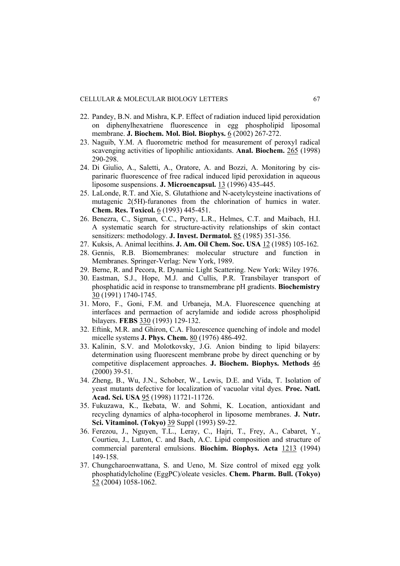- 22. Pandey, B.N. and Mishra, K.P. Effect of radiation induced lipid peroxidation on diphenylhexatriene fluorescence in egg phospholipid liposomal membrane. **J. Biochem. Mol. Biol. Biophys.** 6 (2002) 267-272.
- 23. Naguib, Y.M. A fluorometric method for measurement of peroxyl radical scavenging activities of lipophilic antioxidants. **Anal. Biochem.** 265 (1998) 290-298.
- 24. Di Giulio, A., Saletti, A., Oratore, A. and Bozzi, A. Monitoring by cisparinaric fluorescence of free radical induced lipid peroxidation in aqueous liposome suspensions. **J. Microencapsul.** 13 (1996) 435-445.
- 25. LaLonde, R.T. and Xie, S. Glutathione and N-acetylcysteine inactivations of mutagenic 2(5H)-furanones from the chlorination of humics in water. **Chem. Res. Toxicol.** 6 (1993) 445-451.
- 26. Benezra, C., Sigman, C.C., Perry, L.R., Helmes, C.T. and Maibach, H.I. A systematic search for structure-activity relationships of skin contact sensitizers: methodology. **J. Invest. Dermatol.** 85 (1985) 351-356.
- 27. Kuksis, A. Animal lecithins. **J. Am. Oil Chem. Soc. USA** 12 (1985) 105-162.
- 28. Gennis, R.B. Biomembranes: molecular structure and function in Membranes. Springer-Verlag: New York, 1989.
- 29. Berne, R. and Pecora, R. Dynamic Light Scattering. New York: Wiley 1976.
- 30. Eastman, S.J., Hope, M.J. and Cullis, P.R. Transbilayer transport of phosphatidic acid in response to transmembrane pH gradients. **Biochemistry** 30 (1991) 1740-1745.
- 31. Moro, F., Goni, F.M. and Urbaneja, M.A. Fluorescence quenching at interfaces and permaetion of acrylamide and iodide across phospholipid bilayers. **FEBS** 330 (1993) 129-132.
- 32. Eftink, M.R. and Ghiron, C.A. Fluorescence quenching of indole and model micelle systems **J. Phys. Chem.** 80 (1976) 486-492.
- 33. Kalinin, S.V. and Molotkovsky, J.G. Anion binding to lipid bilayers: determination using fluorescent membrane probe by direct quenching or by competitive displacement approaches. **J. Biochem. Biophys. Methods** 46 (2000) 39-51.
- 34. Zheng, B., Wu, J.N., Schober, W., Lewis, D.E. and Vida, T. Isolation of yeast mutants defective for localization of vacuolar vital dyes. **Proc. Natl. Acad. Sci. USA** 95 (1998) 11721-11726.
- 35. Fukuzawa, K., Ikebata, W. and Sohmi, K. Location, antioxidant and recycling dynamics of alpha-tocopherol in liposome membranes. **J. Nutr. Sci. Vitaminol. (Tokyo)** 39 Suppl (1993) S9-22.
- 36. Ferezou, J., Nguyen, T.L., Leray, C., Hajri, T., Frey, A., Cabaret, Y., Courtieu, J., Lutton, C. and Bach, A.C. Lipid composition and structure of commercial parenteral emulsions. **Biochim. Biophys. Acta** 1213 (1994) 149-158.
- 37. Chungcharoenwattana, S. and Ueno, M. Size control of mixed egg yolk phosphatidylcholine (EggPC)/oleate vesicles. **Chem. Pharm. Bull. (Tokyo)** 52 (2004) 1058-1062.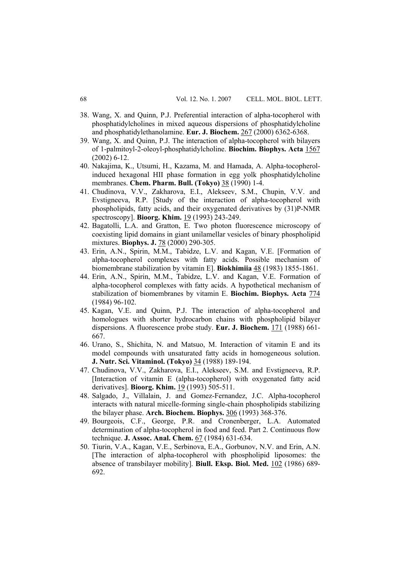- 38. Wang, X. and Quinn, P.J. Preferential interaction of alpha-tocopherol with phosphatidylcholines in mixed aqueous dispersions of phosphatidylcholine and phosphatidylethanolamine. **Eur. J. Biochem.** 267 (2000) 6362-6368.
- 39. Wang, X. and Quinn, P.J. The interaction of alpha-tocopherol with bilayers of 1-palmitoyl-2-oleoyl-phosphatidylcholine. **Biochim. Biophys. Acta** 1567 (2002) 6-12.
- 40. Nakajima, K., Utsumi, H., Kazama, M. and Hamada, A. Alpha-tocopherolinduced hexagonal HII phase formation in egg yolk phosphatidylcholine membranes. **Chem. Pharm. Bull. (Tokyo)** 38 (1990) 1-4.
- 41. Chudinova, V.V., Zakharova, E.I., Alekseev, S.M., Chupin, V.V. and Evstigneeva, R.P. [Study of the interaction of alpha-tocopherol with phospholipids, fatty acids, and their oxygenated derivatives by (31)P-NMR spectroscopy]. **Bioorg. Khim.** 19 (1993) 243-249.
- 42. Bagatolli, L.A. and Gratton, E. Two photon fluorescence microscopy of coexisting lipid domains in giant unilamellar vesicles of binary phospholipid mixtures. **Biophys. J.** 78 (2000) 290-305.
- 43. Erin, A.N., Spirin, M.M., Tabidze, L.V. and Kagan, V.E. [Formation of alpha-tocopherol complexes with fatty acids. Possible mechanism of biomembrane stabilization by vitamin E]. **Biokhimiia** 48 (1983) 1855-1861.
- 44. Erin, A.N., Spirin, M.M., Tabidze, L.V. and Kagan, V.E. Formation of alpha-tocopherol complexes with fatty acids. A hypothetical mechanism of stabilization of biomembranes by vitamin E. **Biochim. Biophys. Acta** 774 (1984) 96-102.
- 45. Kagan, V.E. and Quinn, P.J. The interaction of alpha-tocopherol and homologues with shorter hydrocarbon chains with phospholipid bilayer dispersions. A fluorescence probe study. **Eur. J. Biochem.** 171 (1988) 661- 667.
- 46. Urano, S., Shichita, N. and Matsuo, M. Interaction of vitamin E and its model compounds with unsaturated fatty acids in homogeneous solution. **J. Nutr. Sci. Vitaminol. (Tokyo)** 34 (1988) 189-194.
- 47. Chudinova, V.V., Zakharova, E.I., Alekseev, S.M. and Evstigneeva, R.P. [Interaction of vitamin E (alpha-tocopherol) with oxygenated fatty acid derivatives]. **Bioorg. Khim.** 19 (1993) 505-511.
- 48. Salgado, J., Villalain, J. and Gomez-Fernandez, J.C. Alpha-tocopherol interacts with natural micelle-forming single-chain phospholipids stabilizing the bilayer phase. **Arch. Biochem. Biophys.** 306 (1993) 368-376.
- 49. Bourgeois, C.F., George, P.R. and Cronenberger, L.A. Automated determination of alpha-tocopherol in food and feed. Part 2. Continuous flow technique. **J. Assoc. Anal. Chem.** 67 (1984) 631-634.
- 50. Tiurin, V.A., Kagan, V.E., Serbinova, E.A., Gorbunov, N.V. and Erin, A.N. [The interaction of alpha-tocopherol with phospholipid liposomes: the absence of transbilayer mobility]. **Biull. Eksp. Biol. Med.** 102 (1986) 689- 692.